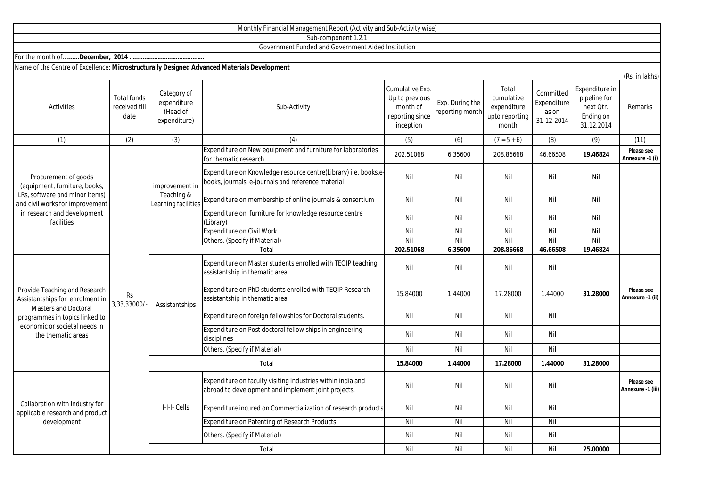|                                                                                                                                                                                          |                                             |                                                        | Monthly Financial Management Report (Activity and Sub-Activity wise)                                                  |                                                                               |                                    |                                                               |                                                 |                                                                        |                                 |
|------------------------------------------------------------------------------------------------------------------------------------------------------------------------------------------|---------------------------------------------|--------------------------------------------------------|-----------------------------------------------------------------------------------------------------------------------|-------------------------------------------------------------------------------|------------------------------------|---------------------------------------------------------------|-------------------------------------------------|------------------------------------------------------------------------|---------------------------------|
|                                                                                                                                                                                          |                                             |                                                        | Sub-component 1.2.1                                                                                                   |                                                                               |                                    |                                                               |                                                 |                                                                        |                                 |
|                                                                                                                                                                                          |                                             |                                                        | Government Funded and Government Aided Institution                                                                    |                                                                               |                                    |                                                               |                                                 |                                                                        |                                 |
|                                                                                                                                                                                          |                                             |                                                        |                                                                                                                       |                                                                               |                                    |                                                               |                                                 |                                                                        |                                 |
| Name of the Centre of Excellence: Microstructurally Designed Advanced Materials Development                                                                                              |                                             |                                                        |                                                                                                                       |                                                                               |                                    |                                                               |                                                 |                                                                        |                                 |
|                                                                                                                                                                                          |                                             |                                                        |                                                                                                                       |                                                                               |                                    |                                                               |                                                 |                                                                        | (Rs. in lakhs)                  |
| Activities                                                                                                                                                                               | <b>Total funds</b><br>received till<br>date | Category of<br>expenditure<br>(Head of<br>expenditure) | Sub-Activity                                                                                                          | Cumulative Exp.<br>Up to previous<br>month of<br>reporting since<br>inception | Exp. During the<br>reporting month | Total<br>cumulative<br>expenditure<br>upto reporting<br>month | Committed<br>Expenditure<br>as on<br>31-12-2014 | Expenditure in<br>pipeline for<br>next Otr.<br>Ending on<br>31.12.2014 | Remarks                         |
| (1)                                                                                                                                                                                      | (2)                                         | (3)                                                    | (4)                                                                                                                   | (5)                                                                           | (6)                                | $(7 - 5 + 6)$                                                 | (8)                                             | (9)                                                                    | (11)                            |
| Procurement of goods<br>(equipment, furniture, books,<br>LRs, software and minor items)<br>and civil works for improvement<br>in research and development<br>facilities                  | <b>Rs</b><br>3,33,33000/                    | improvement in<br>Teaching &<br>Learning facilities    | Expenditure on New equipment and furniture for laboratories<br>for thematic research.                                 | 202.51068                                                                     | 6.35600                            | 208.86668                                                     | 46.66508                                        | 19.46824                                                               | Please see<br>Annexure -1 (i)   |
|                                                                                                                                                                                          |                                             |                                                        | Expenditure on Knowledge resource centre(Library) i.e. books,e-<br>books, journals, e-journals and reference material | Nil                                                                           | Nil                                | Nil                                                           | Nil                                             | Nil                                                                    |                                 |
|                                                                                                                                                                                          |                                             |                                                        | Expenditure on membership of online journals & consortium                                                             | Nil                                                                           | Nil                                | Nil                                                           | Nil                                             | Nil                                                                    |                                 |
|                                                                                                                                                                                          |                                             |                                                        | Expenditure on furniture for knowledge resource centre<br>(Library)                                                   | Nil                                                                           | Nil                                | Nil                                                           | Nil                                             | Nil                                                                    |                                 |
|                                                                                                                                                                                          |                                             |                                                        | <b>Expenditure on Civil Work</b>                                                                                      | Nil                                                                           | Nil                                | Nil                                                           | Nil                                             | Nil                                                                    |                                 |
|                                                                                                                                                                                          |                                             |                                                        | Others. (Specify if Material)                                                                                         | Nil                                                                           | Nil                                | Nil                                                           | Nil                                             | Nil                                                                    |                                 |
|                                                                                                                                                                                          |                                             |                                                        | Total                                                                                                                 | 202.51068                                                                     | 6.35600                            | 208.86668                                                     | 46.66508                                        | 19.46824                                                               |                                 |
| Provide Teaching and Research<br>Assistantships for enrolment in<br><b>Masters and Doctoral</b><br>programmes in topics linked to<br>economic or societal needs in<br>the thematic areas |                                             | Assistantships                                         | Expenditure on Master students enrolled with TEQIP teaching<br>assistantship in thematic area                         | Nil                                                                           | Nil                                | Nil                                                           | Nil                                             |                                                                        |                                 |
|                                                                                                                                                                                          |                                             |                                                        | Expenditure on PhD students enrolled with TEQIP Research<br>assistantship in thematic area                            | 15.84000                                                                      | 1.44000                            | 17.28000                                                      | 1.44000                                         | 31.28000                                                               | Please see<br>Annexure -1 (ii)  |
|                                                                                                                                                                                          |                                             |                                                        | Expenditure on foreign fellowships for Doctoral students.                                                             | Nil                                                                           | Nil                                | Nil                                                           | Nil                                             |                                                                        |                                 |
|                                                                                                                                                                                          |                                             |                                                        | Expenditure on Post doctoral fellow ships in engineering<br>disciplines                                               | Nil                                                                           | Nil                                | Nil                                                           | Nil                                             |                                                                        |                                 |
|                                                                                                                                                                                          |                                             |                                                        | Others. (Specify if Material)                                                                                         | Nil                                                                           | Nil                                | Nil                                                           | Nil                                             |                                                                        |                                 |
|                                                                                                                                                                                          |                                             | Total                                                  |                                                                                                                       | 15.84000                                                                      | 1.44000                            | 17.28000                                                      | 1.44000                                         | 31.28000                                                               |                                 |
| Collabration with industry for<br>applicable research and product<br>development                                                                                                         |                                             | I-I-I- Cells                                           | Expenditure on faculty visiting Industries within india and<br>abroad to development and implement joint projects.    | Nil                                                                           | Nil                                | Nil                                                           | Nil                                             |                                                                        | Please see<br>Annexure -1 (iii) |
|                                                                                                                                                                                          |                                             |                                                        | Expenditure incured on Commercialization of research products                                                         | Nil                                                                           | Nil                                | Nil                                                           | Nil                                             |                                                                        |                                 |
|                                                                                                                                                                                          |                                             |                                                        | Expenditure on Patenting of Research Products                                                                         | Nil                                                                           | Nil                                | Nil                                                           | Nil                                             |                                                                        |                                 |
|                                                                                                                                                                                          |                                             |                                                        | Others. (Specify if Material)                                                                                         | Nil                                                                           | Nil                                | Nil                                                           | Nil                                             |                                                                        |                                 |

Total

Nil Nil Nil Nil **25.00000**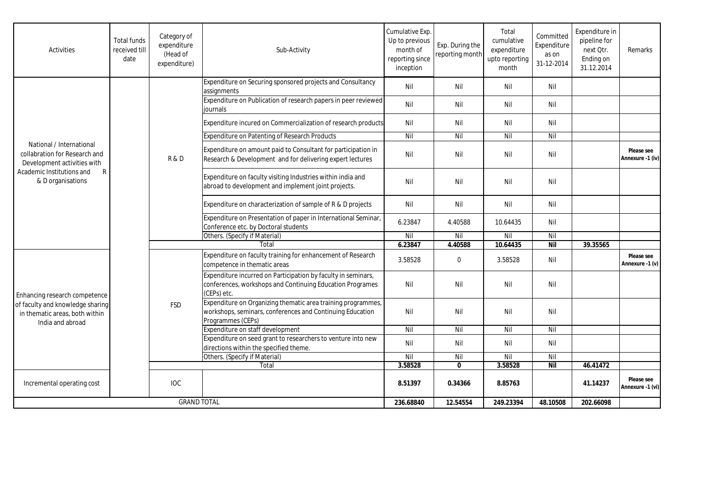| Activities                                                                                                                                                 | <b>Total funds</b><br>received till<br>date | Category of<br>expenditure<br>(Head of<br>expenditure) | Sub-Activity                                                                                                                                   | Cumulative Exp.<br>Up to previous<br>month of<br>reporting since<br>inception | Exp. During the<br>reporting month | Total<br>cumulative<br>expenditure<br>upto reporting<br>month | Committed<br>Expenditure<br>as on<br>31-12-2014 | Expenditure in<br>pipeline for<br>next Qtr.<br>Ending on<br>31.12.2014 | Remarks                        |
|------------------------------------------------------------------------------------------------------------------------------------------------------------|---------------------------------------------|--------------------------------------------------------|------------------------------------------------------------------------------------------------------------------------------------------------|-------------------------------------------------------------------------------|------------------------------------|---------------------------------------------------------------|-------------------------------------------------|------------------------------------------------------------------------|--------------------------------|
| National / International<br>collabration for Research and<br>Development activities with<br>Academic Institutions and<br>$\mathsf{R}$<br>& D organisations |                                             | R&D                                                    | Expenditure on Securing sponsored projects and Consultancy<br>assignments                                                                      | Nil                                                                           | Nil                                | Nil                                                           | Nil                                             |                                                                        |                                |
|                                                                                                                                                            |                                             |                                                        | Expenditure on Publication of research papers in peer reviewed<br>iournals                                                                     | Nil                                                                           | Nil                                | Nil                                                           | Nil                                             |                                                                        |                                |
|                                                                                                                                                            |                                             |                                                        | Expenditure incured on Commercialization of research products                                                                                  | Nil                                                                           | Nil                                | Nil                                                           | Nil                                             |                                                                        |                                |
|                                                                                                                                                            |                                             |                                                        | Expenditure on Patenting of Research Products                                                                                                  | Nil                                                                           | Nil                                | Nil                                                           | Nil                                             |                                                                        |                                |
|                                                                                                                                                            |                                             |                                                        | Expenditure on amount paid to Consultant for participation in<br>Research & Development and for delivering expert lectures                     | Nil                                                                           | Nil                                | Nil                                                           | Nil                                             |                                                                        | Please see<br>Annexure -1 (iv) |
|                                                                                                                                                            |                                             |                                                        | Expenditure on faculty visiting Industries within india and<br>abroad to development and implement joint projects.                             | Nil                                                                           | Nil                                | Nil                                                           | Nil                                             |                                                                        |                                |
|                                                                                                                                                            |                                             |                                                        | Expenditure on characterization of sample of R & D projects                                                                                    | Nil                                                                           | Nil                                | Nil                                                           | Nil                                             |                                                                        |                                |
|                                                                                                                                                            |                                             |                                                        | Expenditure on Presentation of paper in International Seminar,<br>Conference etc. by Doctoral students                                         | 6.23847                                                                       | 4.40588                            | 10.64435                                                      | Nil                                             |                                                                        |                                |
|                                                                                                                                                            |                                             |                                                        | Others. (Specify if Material)                                                                                                                  | Nil                                                                           | Nil                                | Nil                                                           | Nil                                             |                                                                        |                                |
|                                                                                                                                                            |                                             |                                                        | Total                                                                                                                                          |                                                                               | 4.40588                            | 10.64435                                                      | <b>Nil</b>                                      | 39.35565                                                               |                                |
| Enhancing research competence<br>of faculty and knowledge sharing<br>in thematic areas, both within<br>India and abroad                                    |                                             | <b>FSD</b>                                             | Expenditure on faculty training for enhancement of Research<br>competence in thematic areas                                                    | 3.58528                                                                       | $\mathbf 0$                        | 3.58528                                                       | Nil                                             |                                                                        | Please see<br>Annexure -1 (v)  |
|                                                                                                                                                            |                                             |                                                        | Expenditure incurred on Participation by faculty in seminars,<br>conferences, workshops and Continuing Education Programes<br>(CEPs) etc.      | Nil                                                                           | Nil                                | Nil                                                           | Nil                                             |                                                                        |                                |
|                                                                                                                                                            |                                             |                                                        | Expenditure on Organizing thematic area training programmes,<br>workshops, seminars, conferences and Continuing Education<br>Programmes (CEPs) | Nil                                                                           | Nil                                | Nil                                                           | Nil                                             |                                                                        |                                |
|                                                                                                                                                            |                                             |                                                        | Expenditure on staff development                                                                                                               | Nil                                                                           | Nil                                | Nil                                                           | Nil                                             |                                                                        |                                |
|                                                                                                                                                            |                                             |                                                        | Expenditure on seed grant to researchers to venture into new<br>directions within the specified theme.                                         | Nil                                                                           | Nil                                | Nil                                                           | Nil                                             |                                                                        |                                |
|                                                                                                                                                            |                                             |                                                        | Others. (Specify if Material)                                                                                                                  | Nil                                                                           | Nil                                | Nil                                                           | Nil                                             |                                                                        |                                |
|                                                                                                                                                            |                                             |                                                        | Total                                                                                                                                          | 3.58528                                                                       | $\mathbf{0}$                       | 3.58528                                                       | <b>Nil</b>                                      | 46.41472                                                               |                                |
| Incremental operating cost                                                                                                                                 |                                             | <b>IOC</b>                                             |                                                                                                                                                | 8.51397                                                                       | 0.34366                            | 8.85763                                                       |                                                 | 41.14237                                                               | Please see<br>Annexure -1 (vi) |
| <b>GRAND TOTAL</b>                                                                                                                                         |                                             |                                                        | 236.68840                                                                                                                                      | 12.54554                                                                      | 249.23394                          | 48.10508                                                      | 202.66098                                       |                                                                        |                                |